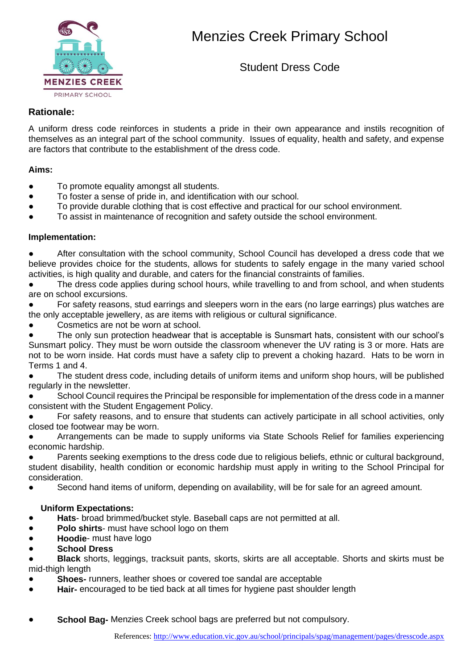

# Menzies Creek Primary School

Student Dress Code

## **Rationale:**

A uniform dress code reinforces in students a pride in their own appearance and instils recognition of themselves as an integral part of the school community. Issues of equality, health and safety, and expense are factors that contribute to the establishment of the dress code.

#### **Aims:**

- To promote equality amongst all students.
- To foster a sense of pride in, and identification with our school.
- To provide durable clothing that is cost effective and practical for our school environment.
- To assist in maintenance of recognition and safety outside the school environment.

#### **Implementation:**

After consultation with the school community, School Council has developed a dress code that we believe provides choice for the students, allows for students to safely engage in the many varied school activities, is high quality and durable, and caters for the financial constraints of families.

The dress code applies during school hours, while travelling to and from school, and when students are on school excursions.

For safety reasons, stud earrings and sleepers worn in the ears (no large earrings) plus watches are the only acceptable jewellery, as are items with religious or cultural significance.

Cosmetics are not be worn at school.

The only sun protection headwear that is acceptable is Sunsmart hats, consistent with our school's Sunsmart policy. They must be worn outside the classroom whenever the UV rating is 3 or more. Hats are not to be worn inside. Hat cords must have a safety clip to prevent a choking hazard. Hats to be worn in Terms 1 and 4.

The student dress code, including details of uniform items and uniform shop hours, will be published regularly in the newsletter.

School Council requires the Principal be responsible for implementation of the dress code in a manner consistent with the Student Engagement Policy.

For safety reasons, and to ensure that students can actively participate in all school activities, only closed toe footwear may be worn.

Arrangements can be made to supply uniforms via State Schools Relief for families experiencing economic hardship.

Parents seeking exemptions to the dress code due to religious beliefs, ethnic or cultural background, student disability, health condition or economic hardship must apply in writing to the School Principal for consideration.

● Second hand items of uniform, depending on availability, will be for sale for an agreed amount.

### **Uniform Expectations:**

- Hats- broad brimmed/bucket style. Baseball caps are not permitted at all.
- **Polo shirts-** must have school logo on them
- **Hoodie-** must have logo
- **School Dress**

**Black** shorts, leggings, tracksuit pants, skorts, skirts are all acceptable. Shorts and skirts must be mid-thigh length

- **Shoes-** runners, leather shoes or covered toe sandal are acceptable
- **Hair-** encouraged to be tied back at all times for hygiene past shoulder length
- **School Bag-** Menzies Creek school bags are preferred but not compulsory.